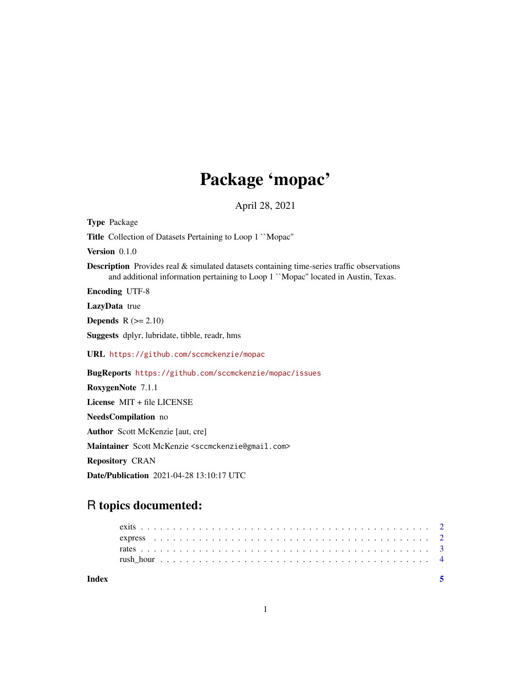## Package 'mopac'

April 28, 2021

Type Package Title Collection of Datasets Pertaining to Loop 1 ``Mopac'' Version 0.1.0 Description Provides real & simulated datasets containing time-series traffic observations and additional information pertaining to Loop 1 ``Mopac'' located in Austin, Texas. Encoding UTF-8 LazyData true **Depends**  $R$  ( $>= 2.10$ ) Suggests dplyr, lubridate, tibble, readr, hms URL <https://github.com/sccmckenzie/mopac> BugReports <https://github.com/sccmckenzie/mopac/issues> RoxygenNote 7.1.1 License MIT + file LICENSE NeedsCompilation no Author Scott McKenzie [aut, cre] Maintainer Scott McKenzie <sccmckenzie@gmail.com> Repository CRAN Date/Publication 2021-04-28 13:10:17 UTC

### R topics documented:

| Index |  |  |  |  |  |  |  |  |  |  |  |  |  |  |  |  |  |  |  |  |  |  |
|-------|--|--|--|--|--|--|--|--|--|--|--|--|--|--|--|--|--|--|--|--|--|--|
|       |  |  |  |  |  |  |  |  |  |  |  |  |  |  |  |  |  |  |  |  |  |  |
|       |  |  |  |  |  |  |  |  |  |  |  |  |  |  |  |  |  |  |  |  |  |  |
|       |  |  |  |  |  |  |  |  |  |  |  |  |  |  |  |  |  |  |  |  |  |  |
|       |  |  |  |  |  |  |  |  |  |  |  |  |  |  |  |  |  |  |  |  |  |  |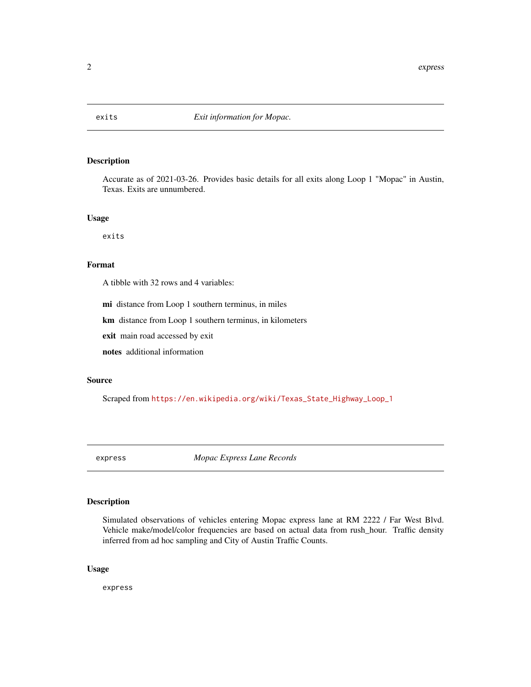<span id="page-1-0"></span>

#### Description

Accurate as of 2021-03-26. Provides basic details for all exits along Loop 1 "Mopac" in Austin, Texas. Exits are unnumbered.

#### Usage

exits

#### Format

A tibble with 32 rows and 4 variables:

mi distance from Loop 1 southern terminus, in miles

km distance from Loop 1 southern terminus, in kilometers

exit main road accessed by exit

notes additional information

#### Source

Scraped from [https://en.wikipedia.org/wiki/Texas\\_State\\_Highway\\_Loop\\_1](https://en.wikipedia.org/wiki/Texas_State_Highway_Loop_1)

express *Mopac Express Lane Records*

#### Description

Simulated observations of vehicles entering Mopac express lane at RM 2222 / Far West Blvd. Vehicle make/model/color frequencies are based on actual data from rush\_hour. Traffic density inferred from ad hoc sampling and City of Austin Traffic Counts.

#### Usage

express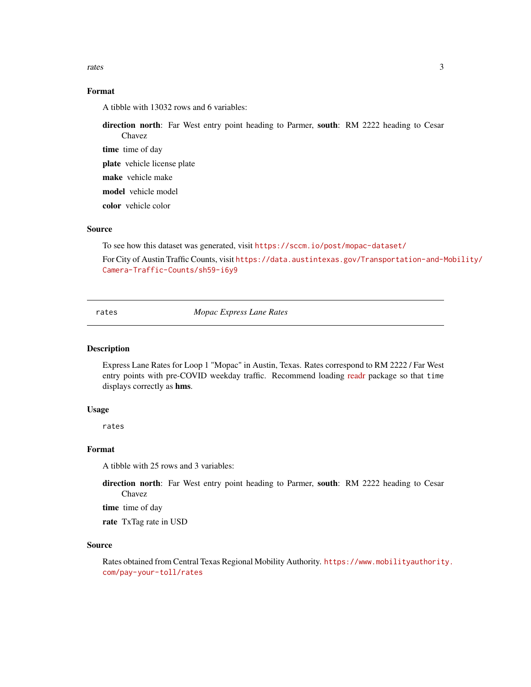<span id="page-2-0"></span>rates 3

#### Format

A tibble with 13032 rows and 6 variables:

direction north: Far West entry point heading to Parmer, south: RM 2222 heading to Cesar Chavez

time time of day

plate vehicle license plate

make vehicle make

model vehicle model

color vehicle color

#### Source

To see how this dataset was generated, visit <https://sccm.io/post/mopac-dataset/>

For City of Austin Traffic Counts, visit [https://data.austintexas.gov/Transportation-and-M](https://data.austintexas.gov/Transportation-and-Mobility/Camera-Traffic-Counts/sh59-i6y9)obility/ [Camera-Traffic-Counts/sh59-i6y9](https://data.austintexas.gov/Transportation-and-Mobility/Camera-Traffic-Counts/sh59-i6y9)

rates *Mopac Express Lane Rates*

#### Description

Express Lane Rates for Loop 1 "Mopac" in Austin, Texas. Rates correspond to RM 2222 / Far West entry points with pre-COVID weekday traffic. Recommend loading [readr](https://readr.tidyverse.org/) package so that time displays correctly as hms.

#### Usage

rates

#### Format

A tibble with 25 rows and 3 variables:

direction north: Far West entry point heading to Parmer, south: RM 2222 heading to Cesar Chavez

time time of day

rate TxTag rate in USD

#### Source

Rates obtained from Central Texas Regional Mobility Authority. [https://www.mobilityauthorit](https://www.mobilityauthority.com/pay-your-toll/rates)y. [com/pay-your-toll/rates](https://www.mobilityauthority.com/pay-your-toll/rates)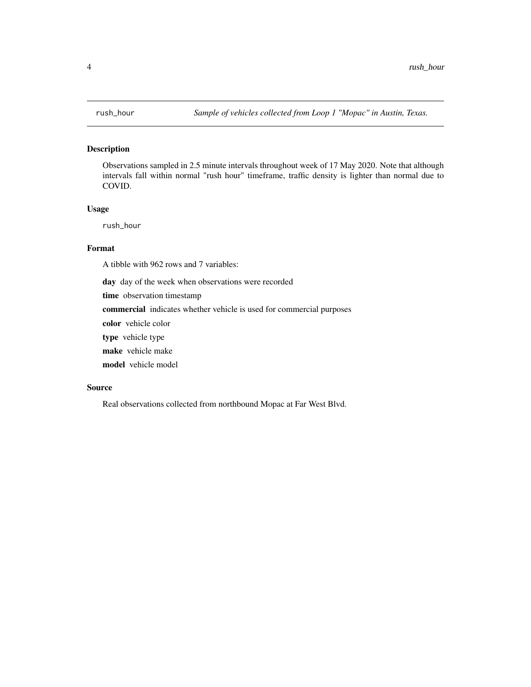#### <span id="page-3-0"></span>Description

Observations sampled in 2.5 minute intervals throughout week of 17 May 2020. Note that although intervals fall within normal "rush hour" timeframe, traffic density is lighter than normal due to COVID.

#### Usage

rush\_hour

#### Format

A tibble with 962 rows and 7 variables:

day day of the week when observations were recorded

time observation timestamp

commercial indicates whether vehicle is used for commercial purposes

color vehicle color

type vehicle type

make vehicle make

model vehicle model

#### Source

Real observations collected from northbound Mopac at Far West Blvd.